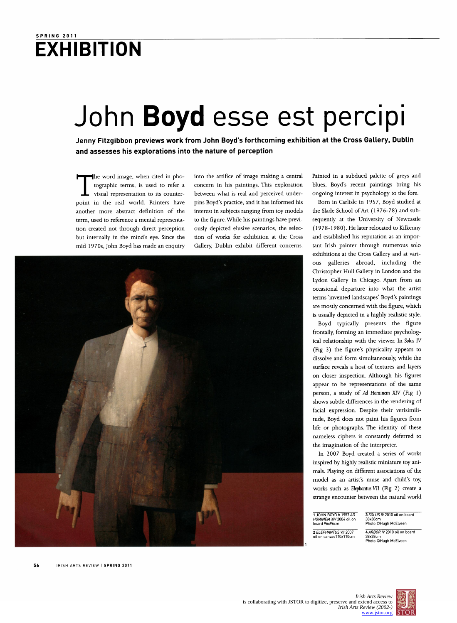## SPRING 2011 **EXHIBITION**

## John Boyd esse est percipi

 Jenny Fitzgibbon previews work from John Boyd's forthcoming exhibition at the Cross Gallery, Dublin and assesses his explorations into the nature of perception

he word image, when cited in pho tographic terms, is used to refer a visual representation to its counter point in the real world. Painters have another more abstract definition of the term, used to reference a mental representa tion created not through direct perception but internally in the mind's eye. Since the mid 1 970s, John Boyd has made an enquiry

 into the artifice of image making a central concern in his paintings. This exploration between what is real and perceived under pins Boyd's practice, and it has informed his interest in subjects ranging from toy models to the figure. While his paintings have previ ously depicted elusive scenarios, the selec tion of works for exhibition at the Cross Gallery, Dublin exhibit different concerns.



 Painted in a subdued palette of greys and blues, Boyd's recent paintings bring his ongoing interest in psychology to the fore.

 Born in Carlisle in 1957, Boyd studied at the Slade School of Art (1976-78) and sub sequently at the University of Newcastle (1978-1980). He later relocated to Kilkenny and established his reputation as an impor tant Irish painter through numerous solo exhibitions at the Cross Gallery and at vari ous galleries abroad, including the Christopher Hull Gallery in London and the Lydon Gallery in Chicago. Apart from an occasional departure into what the artist terms 'invented landscapes' Boyd's paintings are mostly concerned with the figure, which is usually depicted in a highly realistic style.

 Boyd typically presents the figure frontally, forming an immediate psycholog ical relationship with the viewer. In Solus IV (Fig 3) the figure's physicality appears to dissolve and form simultaneously, while the surface reveals a host of textures and layers on closer inspection. Although his figures appear to be representations of the same person, a study of Ad Hominem XIV (Fig 1) shows subtle differences in the rendering of facial expression. Despite their verisimili tude, Boyd does not paint his figures from life or photographs. The identity of these nameless ciphers is constantly deferred to the imagination of the interpreter.

 In 2007 Boyd created a series of works inspired by highly realistic miniature toy ani mals. Playing on different associations of the model as an artist's muse and child's toy, works such as Elephantus VII (Fig 2) create a strange encounter between the natural world

**1** JOHN BOYD b.1957 *AD*<br>*HOMINEM XIV* 2004 oil on<br>board 96x96cm

 2 ELEPHANTUS VII 2007 oil on canvas110x110cm 3 SOLUS IV 2010 oil on board 38x38cm Photo ©Hugh McElveen

4 ARBOR IV 2010 oil on board 38x38cm Photo ©Hugh McElveen

56 IRISH ARTS REVIEW I SPRING 2011